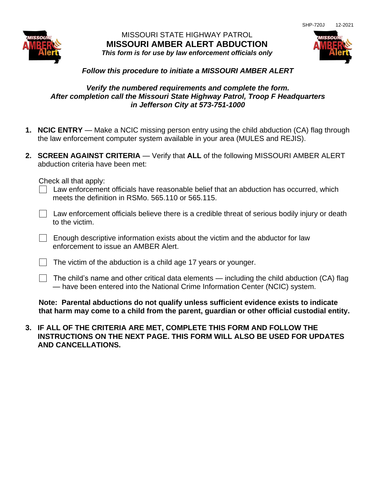

## MISSOURI STATE HIGHWAY PATROL **MISSOURI AMBER ALERT ABDUCTION** *This form is for use by law enforcement officials only*



## *Follow this procedure to initiate a MISSOURI AMBER ALERT*

## *Verify the numbered requirements and complete the form. After completion call the Missouri State Highway Patrol, Troop F Headquarters in Jefferson City at 573-751-1000*

- **1. NCIC ENTRY** Make a NCIC missing person entry using the child abduction (CA) flag through the law enforcement computer system available in your area (MULES and REJIS).
- **2. SCREEN AGAINST CRITERIA** Verify that **ALL** of the following MISSOURI AMBER ALERT abduction criteria have been met:

Check all that apply:

- $\Box$  Law enforcement officials have reasonable belief that an abduction has occurred, which meets the definition in RSMo. 565.110 or 565.115.
- Law enforcement officials believe there is a credible threat of serious bodily injury or death to the victim.
- $\Box$  Enough descriptive information exists about the victim and the abductor for law enforcement to issue an AMBER Alert.
- $\Box$  The victim of the abduction is a child age 17 years or younger.
- The child's name and other critical data elements including the child abduction (CA) flag — have been entered into the National Crime Information Center (NCIC) system.

**Note: Parental abductions do not qualify unless sufficient evidence exists to indicate that harm may come to a child from the parent, guardian or other official custodial entity.**

**3. IF ALL OF THE CRITERIA ARE MET, COMPLETE THIS FORM AND FOLLOW THE INSTRUCTIONS ON THE NEXT PAGE. THIS FORM WILL ALSO BE USED FOR UPDATES AND CANCELLATIONS.**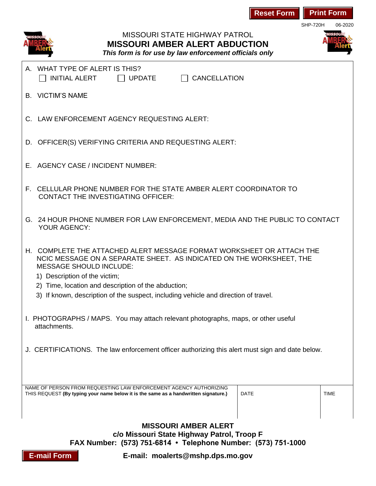| <b>Print Form</b><br><b>Reset Form</b><br><b>SHP-720H</b>                                                                                                                                                         |  |
|-------------------------------------------------------------------------------------------------------------------------------------------------------------------------------------------------------------------|--|
| 06-2020<br><b>MISSOURI STATE HIGHWAY PATROL</b><br><b>MISSOURI AMBER ALERT ABDUCTION</b><br>This form is for use by law enforcement officials only                                                                |  |
| WHAT TYPE OF ALERT IS THIS?<br>$\Box$ CANCELLATION<br><b>INITIAL ALERT</b><br><b>UPDATE</b>                                                                                                                       |  |
| <b>B. VICTIM'S NAME</b>                                                                                                                                                                                           |  |
| C. LAW ENFORCEMENT AGENCY REQUESTING ALERT:                                                                                                                                                                       |  |
| D. OFFICER(S) VERIFYING CRITERIA AND REQUESTING ALERT:                                                                                                                                                            |  |
| E. AGENCY CASE / INCIDENT NUMBER:                                                                                                                                                                                 |  |
| F. CELLULAR PHONE NUMBER FOR THE STATE AMBER ALERT COORDINATOR TO<br><b>CONTACT THE INVESTIGATING OFFICER:</b>                                                                                                    |  |
| G. 24 HOUR PHONE NUMBER FOR LAW ENFORCEMENT, MEDIA AND THE PUBLIC TO CONTACT<br><b>YOUR AGENCY:</b>                                                                                                               |  |
| H. COMPLETE THE ATTACHED ALERT MESSAGE FORMAT WORKSHEET OR ATTACH THE<br>NCIC MESSAGE ON A SEPARATE SHEET. AS INDICATED ON THE WORKSHEET, THE<br><b>MESSAGE SHOULD INCLUDE:</b><br>1) Description of the victim;  |  |
| 2) Time, location and description of the abduction;                                                                                                                                                               |  |
| 3) If known, description of the suspect, including vehicle and direction of travel.                                                                                                                               |  |
| I. PHOTOGRAPHS / MAPS. You may attach relevant photographs, maps, or other useful<br>attachments.                                                                                                                 |  |
| J. CERTIFICATIONS. The law enforcement officer authorizing this alert must sign and date below.                                                                                                                   |  |
| NAME OF PERSON FROM REQUESTING LAW ENFORCEMENT AGENCY AUTHORIZING                                                                                                                                                 |  |
| <b>DATE</b><br><b>TIME</b><br>THIS REQUEST (By typing your name below it is the same as a handwritten signature.)                                                                                                 |  |
| <b>MISSOURI AMBER ALERT</b><br>c/o Missouri State Highway Patrol, Troop F<br>FAX Number: (573) 751-6814 • Telephone Number: (573) 751-1000<br><b>E-mail Form</b><br>$F_{\text{-}}$ mail: moalerts@mshn dns mo gov |  |

**E-mail: moalerts@mshp.dps.mo.gov**

**E-mail Form**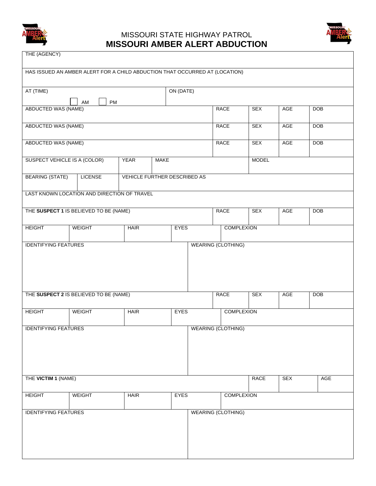

## MISSOURI STATE HIGHWAY PATROL **MISSOURI AMBER ALERT ABDUCTION**



| THE (AGENCY)                                                             |                                                                             |             |  |             |  |                           |              |            |            |  |
|--------------------------------------------------------------------------|-----------------------------------------------------------------------------|-------------|--|-------------|--|---------------------------|--------------|------------|------------|--|
|                                                                          | HAS ISSUED AN AMBER ALERT FOR A CHILD ABDUCTION THAT OCCURRED AT (LOCATION) |             |  |             |  |                           |              |            |            |  |
| AT (TIME)                                                                |                                                                             |             |  | ON (DATE)   |  |                           |              |            |            |  |
| PM<br>AM<br>ABDUCTED WAS (NAME)                                          |                                                                             |             |  |             |  | <b>RACE</b>               | <b>SEX</b>   | <b>AGE</b> | <b>DOB</b> |  |
|                                                                          |                                                                             |             |  |             |  |                           |              |            |            |  |
| <b>ABDUCTED WAS (NAME)</b>                                               |                                                                             |             |  |             |  | <b>RACE</b>               | <b>SEX</b>   | AGE        | <b>DOB</b> |  |
| ABDUCTED WAS (NAME)                                                      |                                                                             |             |  |             |  | <b>RACE</b>               | <b>SEX</b>   | AGE        | <b>DOB</b> |  |
| SUSPECT VEHICLE IS A (COLOR)<br><b>YEAR</b><br><b>MAKE</b>               |                                                                             |             |  |             |  |                           | <b>MODEL</b> |            |            |  |
| <b>BEARING (STATE)</b><br><b>LICENSE</b><br>VEHICLE FURTHER DESCRIBED AS |                                                                             |             |  |             |  |                           |              |            |            |  |
|                                                                          | LAST KNOWN LOCATION AND DIRECTION OF TRAVEL                                 |             |  |             |  |                           |              |            |            |  |
| THE SUSPECT 1 IS BELIEVED TO BE (NAME)                                   |                                                                             |             |  |             |  | <b>RACE</b>               | <b>SEX</b>   | AGE        | <b>DOB</b> |  |
| <b>HEIGHT</b>                                                            | <b>WEIGHT</b><br><b>HAIR</b>                                                |             |  | <b>EYES</b> |  | <b>COMPLEXION</b>         |              |            |            |  |
| <b>IDENTIFYING FEATURES</b><br><b>WEARING (CLOTHING)</b>                 |                                                                             |             |  |             |  |                           |              |            |            |  |
|                                                                          |                                                                             |             |  |             |  |                           |              |            |            |  |
|                                                                          |                                                                             |             |  |             |  |                           |              |            |            |  |
|                                                                          |                                                                             |             |  |             |  | <b>RACE</b>               | <b>SEX</b>   | AGE        | <b>DOB</b> |  |
| THE SUSPECT 2 IS BELIEVED TO BE (NAME)                                   |                                                                             |             |  |             |  |                           |              |            |            |  |
| <b>HEIGHT</b>                                                            | <b>WEIGHT</b>                                                               | <b>HAIR</b> |  | <b>EYES</b> |  | <b>COMPLEXION</b>         |              |            |            |  |
| <b>WEARING (CLOTHING)</b><br><b>IDENTIFYING FEATURES</b>                 |                                                                             |             |  |             |  |                           |              |            |            |  |
|                                                                          |                                                                             |             |  |             |  |                           |              |            |            |  |
|                                                                          |                                                                             |             |  |             |  |                           |              |            |            |  |
| THE VICTIM 1 (NAME)                                                      |                                                                             |             |  |             |  |                           | <b>RACE</b>  | <b>SEX</b> | AGE        |  |
|                                                                          |                                                                             |             |  |             |  |                           |              |            |            |  |
| <b>HEIGHT</b>                                                            | <b>WEIGHT</b>                                                               | <b>HAIR</b> |  | <b>EYES</b> |  | <b>COMPLEXION</b>         |              |            |            |  |
| <b>IDENTIFYING FEATURES</b>                                              |                                                                             |             |  |             |  | <b>WEARING (CLOTHING)</b> |              |            |            |  |
|                                                                          |                                                                             |             |  |             |  |                           |              |            |            |  |
|                                                                          |                                                                             |             |  |             |  |                           |              |            |            |  |
|                                                                          |                                                                             |             |  |             |  |                           |              |            |            |  |